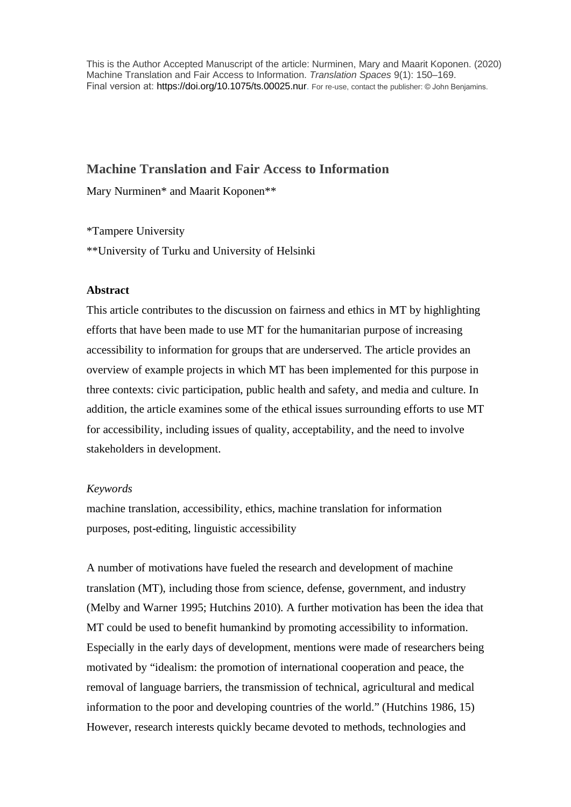This is the Author Accepted Manuscript of the article: Nurminen, Mary and Maarit Koponen. (2020) Machine Translation and Fair Access to Information. *Translation Spaces* 9(1): 150–169. Final version at: https://doi.org/10.1075/ts.00025.nur. For re-use, contact the publisher: © John Benjamins.

# **Machine Translation and Fair Access to Information**

Mary Nurminen\* and Maarit Koponen\*\*

\*Tampere University \*\*University of Turku and University of Helsinki

# **Abstract**

This article contributes to the discussion on fairness and ethics in MT by highlighting efforts that have been made to use MT for the humanitarian purpose of increasing accessibility to information for groups that are underserved. The article provides an overview of example projects in which MT has been implemented for this purpose in three contexts: civic participation, public health and safety, and media and culture. In addition, the article examines some of the ethical issues surrounding efforts to use MT for accessibility, including issues of quality, acceptability, and the need to involve stakeholders in development.

# *Keywords*

machine translation, accessibility, ethics, machine translation for information purposes, post-editing, linguistic accessibility

A number of motivations have fueled the research and development of machine translation (MT), including those from science, defense, government, and industry (Melby and Warner 1995; Hutchins 2010). A further motivation has been the idea that MT could be used to benefit humankind by promoting accessibility to information. Especially in the early days of development, mentions were made of researchers being motivated by "idealism: the promotion of international cooperation and peace, the removal of language barriers, the transmission of technical, agricultural and medical information to the poor and developing countries of the world." (Hutchins 1986, 15) However, research interests quickly became devoted to methods, technologies and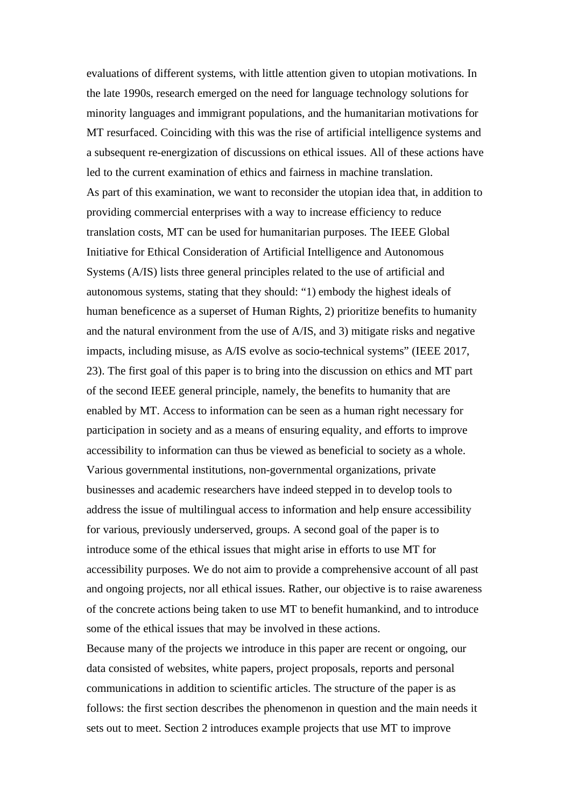evaluations of different systems, with little attention given to utopian motivations. In the late 1990s, research emerged on the need for language technology solutions for minority languages and immigrant populations, and the humanitarian motivations for MT resurfaced. Coinciding with this was the rise of artificial intelligence systems and a subsequent re-energization of discussions on ethical issues. All of these actions have led to the current examination of ethics and fairness in machine translation. As part of this examination, we want to reconsider the utopian idea that, in addition to providing commercial enterprises with a way to increase efficiency to reduce translation costs, MT can be used for humanitarian purposes. The IEEE Global Initiative for Ethical Consideration of Artificial Intelligence and Autonomous Systems (A/IS) lists three general principles related to the use of artificial and autonomous systems, stating that they should: "1) embody the highest ideals of human beneficence as a superset of Human Rights, 2) prioritize benefits to humanity and the natural environment from the use of A/IS, and 3) mitigate risks and negative impacts, including misuse, as A/IS evolve as socio-technical systems" (IEEE 2017, 23). The first goal of this paper is to bring into the discussion on ethics and MT part of the second IEEE general principle, namely, the benefits to humanity that are enabled by MT. Access to information can be seen as a human right necessary for participation in society and as a means of ensuring equality, and efforts to improve accessibility to information can thus be viewed as beneficial to society as a whole. Various governmental institutions, non-governmental organizations, private businesses and academic researchers have indeed stepped in to develop tools to address the issue of multilingual access to information and help ensure accessibility for various, previously underserved, groups. A second goal of the paper is to introduce some of the ethical issues that might arise in efforts to use MT for accessibility purposes. We do not aim to provide a comprehensive account of all past and ongoing projects, nor all ethical issues. Rather, our objective is to raise awareness of the concrete actions being taken to use MT to benefit humankind, and to introduce some of the ethical issues that may be involved in these actions.

Because many of the projects we introduce in this paper are recent or ongoing, our data consisted of websites, white papers, project proposals, reports and personal communications in addition to scientific articles. The structure of the paper is as follows: the first section describes the phenomenon in question and the main needs it sets out to meet. Section 2 introduces example projects that use MT to improve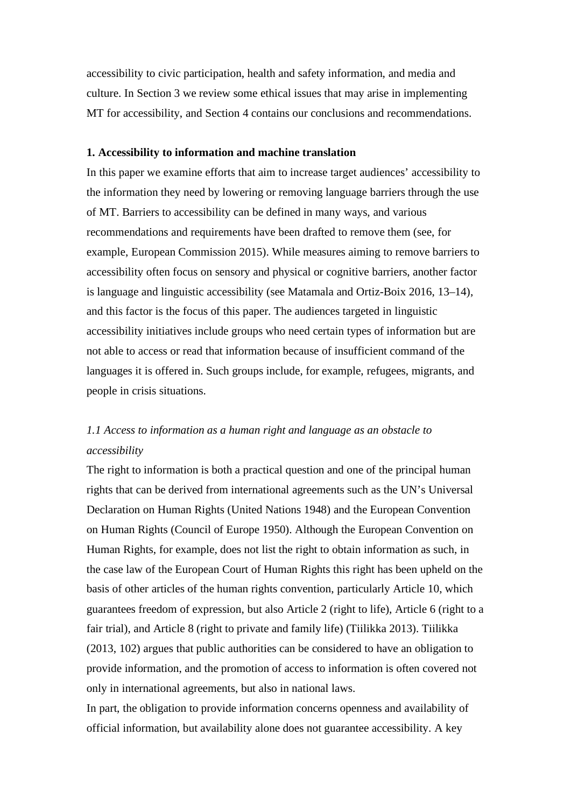accessibility to civic participation, health and safety information, and media and culture. In Section 3 we review some ethical issues that may arise in implementing MT for accessibility, and Section 4 contains our conclusions and recommendations.

#### **1. Accessibility to information and machine translation**

In this paper we examine efforts that aim to increase target audiences' accessibility to the information they need by lowering or removing language barriers through the use of MT. Barriers to accessibility can be defined in many ways, and various recommendations and requirements have been drafted to remove them (see, for example, European Commission 2015). While measures aiming to remove barriers to accessibility often focus on sensory and physical or cognitive barriers, another factor is language and linguistic accessibility (see Matamala and Ortiz-Boix 2016, 13–14), and this factor is the focus of this paper. The audiences targeted in linguistic accessibility initiatives include groups who need certain types of information but are not able to access or read that information because of insufficient command of the languages it is offered in. Such groups include, for example, refugees, migrants, and people in crisis situations.

# *1.1 Access to information as a human right and language as an obstacle to accessibility*

The right to information is both a practical question and one of the principal human rights that can be derived from international agreements such as the UN's Universal Declaration on Human Rights (United Nations 1948) and the European Convention on Human Rights (Council of Europe 1950). Although the European Convention on Human Rights, for example, does not list the right to obtain information as such, in the case law of the European Court of Human Rights this right has been upheld on the basis of other articles of the human rights convention, particularly Article 10, which guarantees freedom of expression, but also Article 2 (right to life), Article 6 (right to a fair trial), and Article 8 (right to private and family life) (Tiilikka 2013). Tiilikka (2013, 102) argues that public authorities can be considered to have an obligation to provide information, and the promotion of access to information is often covered not only in international agreements, but also in national laws.

In part, the obligation to provide information concerns openness and availability of official information, but availability alone does not guarantee accessibility. A key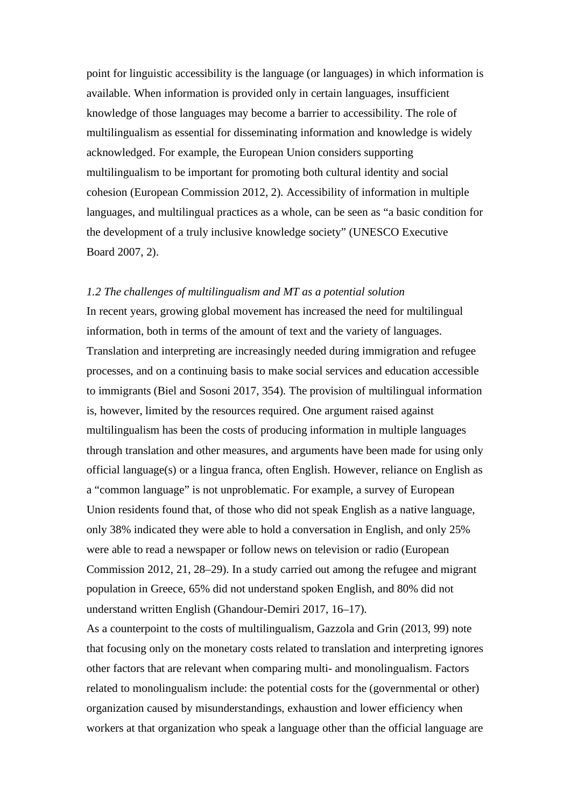point for linguistic accessibility is the language (or languages) in which information is available. When information is provided only in certain languages, insufficient knowledge of those languages may become a barrier to accessibility. The role of multilingualism as essential for disseminating information and knowledge is widely acknowledged. For example, the European Union considers supporting multilingualism to be important for promoting both cultural identity and social cohesion (European Commission 2012, 2). Accessibility of information in multiple languages, and multilingual practices as a whole, can be seen as "a basic condition for the development of a truly inclusive knowledge society" (UNESCO Executive Board 2007, 2).

#### *1.2 The challenges of multilingualism and MT as a potential solution*

In recent years, growing global movement has increased the need for multilingual information, both in terms of the amount of text and the variety of languages. Translation and interpreting are increasingly needed during immigration and refugee processes, and on a continuing basis to make social services and education accessible to immigrants (Biel and Sosoni 2017, 354). The provision of multilingual information is, however, limited by the resources required. One argument raised against multilingualism has been the costs of producing information in multiple languages through translation and other measures, and arguments have been made for using only official language(s) or a lingua franca, often English. However, reliance on English as a "common language" is not unproblematic. For example, a survey of European Union residents found that, of those who did not speak English as a native language, only 38% indicated they were able to hold a conversation in English, and only 25% were able to read a newspaper or follow news on television or radio (European Commission 2012, 21, 28–29). In a study carried out among the refugee and migrant population in Greece, 65% did not understand spoken English, and 80% did not understand written English (Ghandour-Demiri 2017, 16–17).

As a counterpoint to the costs of multilingualism, Gazzola and Grin (2013, 99) note that focusing only on the monetary costs related to translation and interpreting ignores other factors that are relevant when comparing multi- and monolingualism. Factors related to monolingualism include: the potential costs for the (governmental or other) organization caused by misunderstandings, exhaustion and lower efficiency when workers at that organization who speak a language other than the official language are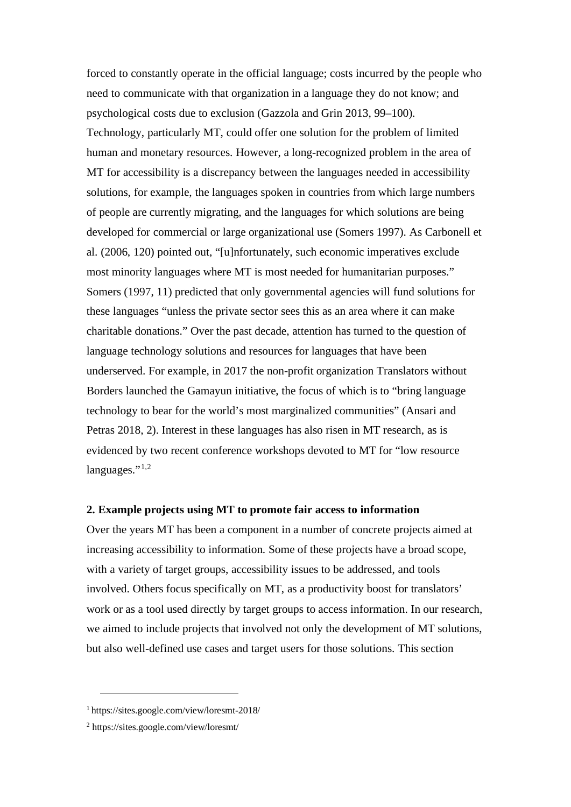forced to constantly operate in the official language; costs incurred by the people who need to communicate with that organization in a language they do not know; and psychological costs due to exclusion (Gazzola and Grin 2013, 99–100). Technology, particularly MT, could offer one solution for the problem of limited human and monetary resources. However, a long-recognized problem in the area of MT for accessibility is a discrepancy between the languages needed in accessibility solutions, for example, the languages spoken in countries from which large numbers of people are currently migrating, and the languages for which solutions are being developed for commercial or large organizational use (Somers 1997). As Carbonell et al. (2006, 120) pointed out, "[u]nfortunately, such economic imperatives exclude most minority languages where MT is most needed for humanitarian purposes." Somers (1997, 11) predicted that only governmental agencies will fund solutions for these languages "unless the private sector sees this as an area where it can make charitable donations." Over the past decade, attention has turned to the question of language technology solutions and resources for languages that have been underserved. For example, in 2017 the non-profit organization Translators without Borders launched the Gamayun initiative, the focus of which is to "bring language technology to bear for the world's most marginalized communities" (Ansari and Petras 2018, 2). Interest in these languages has also risen in MT research, as is evidenced by two recent conference workshops devoted to MT for "low resource languages."<sup>[1](#page-4-0),[2](#page-4-1)</sup>

#### **2. Example projects using MT to promote fair access to information**

Over the years MT has been a component in a number of concrete projects aimed at increasing accessibility to information. Some of these projects have a broad scope, with a variety of target groups, accessibility issues to be addressed, and tools involved. Others focus specifically on MT, as a productivity boost for translators' work or as a tool used directly by target groups to access information. In our research, we aimed to include projects that involved not only the development of MT solutions, but also well-defined use cases and target users for those solutions. This section

<span id="page-4-0"></span><sup>1</sup> <https://sites.google.com/view/loresmt-2018/>

<span id="page-4-1"></span><sup>2</sup> <https://sites.google.com/view/loresmt/>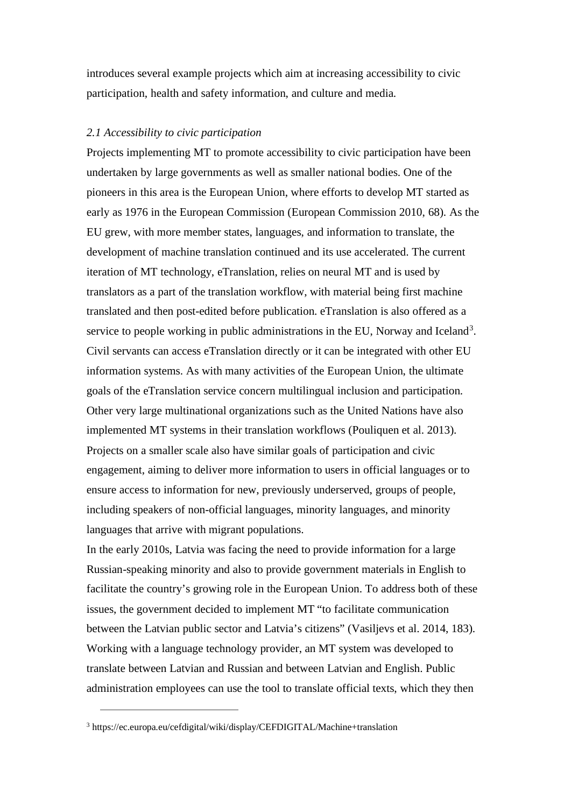introduces several example projects which aim at increasing accessibility to civic participation, health and safety information, and culture and media.

#### *2.1 Accessibility to civic participation*

Projects implementing MT to promote accessibility to civic participation have been undertaken by large governments as well as smaller national bodies. One of the pioneers in this area is the European Union, where efforts to develop MT started as early as 1976 in the European Commission (European Commission 2010, 68). As the EU grew, with more member states, languages, and information to translate, the development of machine translation continued and its use accelerated. The current iteration of MT technology, eTranslation, relies on neural MT and is used by translators as a part of the translation workflow, with material being first machine translated and then post-edited before publication. eTranslation is also offered as a service to people working in public administrations in the EU, Norway and Iceland<sup>[3](#page-5-0)</sup>. Civil servants can access eTranslation directly or it can be integrated with other EU information systems. As with many activities of the European Union, the ultimate goals of the eTranslation service concern multilingual inclusion and participation. Other very large multinational organizations such as the United Nations have also implemented MT systems in their translation workflows (Pouliquen et al. 2013). Projects on a smaller scale also have similar goals of participation and civic engagement, aiming to deliver more information to users in official languages or to ensure access to information for new, previously underserved, groups of people, including speakers of non-official languages, minority languages, and minority languages that arrive with migrant populations.

In the early 2010s, Latvia was facing the need to provide information for a large Russian-speaking minority and also to provide government materials in English to facilitate the country's growing role in the European Union. To address both of these issues, the government decided to implement MT "to facilitate communication between the Latvian public sector and Latvia's citizens" (Vasiljevs et al. 2014, 183). Working with a language technology provider, an MT system was developed to translate between Latvian and Russian and between Latvian and English. Public administration employees can use the tool to translate official texts, which they then

<span id="page-5-0"></span><sup>3</sup> <https://ec.europa.eu/cefdigital/wiki/display/CEFDIGITAL/Machine+translation>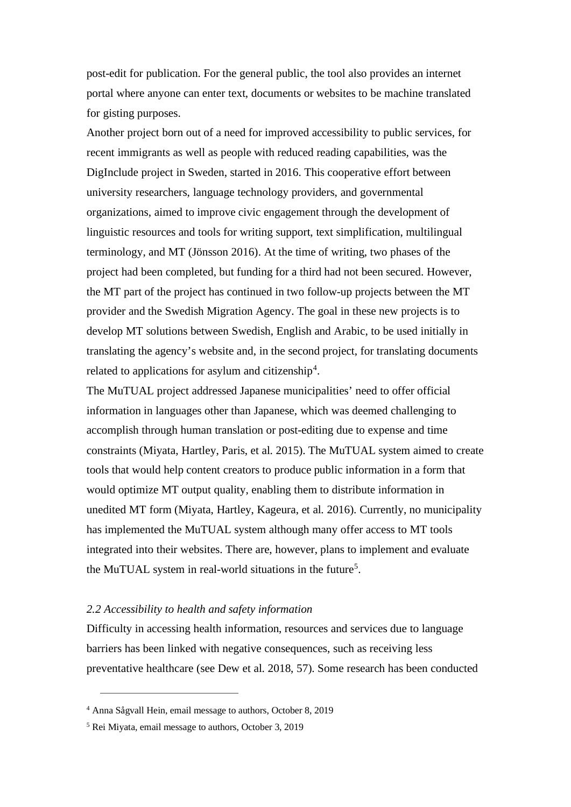post-edit for publication. For the general public, the tool also provides an internet portal where anyone can enter text, documents or websites to be machine translated for gisting purposes.

Another project born out of a need for improved accessibility to public services, for recent immigrants as well as people with reduced reading capabilities, was the DigInclude project in Sweden, started in 2016. This cooperative effort between university researchers, language technology providers, and governmental organizations, aimed to improve civic engagement through the development of linguistic resources and tools for writing support, text simplification, multilingual terminology, and MT (Jönsson 2016). At the time of writing, two phases of the project had been completed, but funding for a third had not been secured. However, the MT part of the project has continued in two follow-up projects between the MT provider and the Swedish Migration Agency. The goal in these new projects is to develop MT solutions between Swedish, English and Arabic, to be used initially in translating the agency's website and, in the second project, for translating documents related to applications for asylum and citizenship<sup>[4](#page-6-0)</sup>.

The MuTUAL project addressed Japanese municipalities' need to offer official information in languages other than Japanese, which was deemed challenging to accomplish through human translation or post-editing due to expense and time constraints (Miyata, Hartley, Paris, et al. 2015). The MuTUAL system aimed to create tools that would help content creators to produce public information in a form that would optimize MT output quality, enabling them to distribute information in unedited MT form (Miyata, Hartley, Kageura, et al. 2016). Currently, no municipality has implemented the MuTUAL system although many offer access to MT tools integrated into their websites. There are, however, plans to implement and evaluate the MuTUAL system in real-world situations in the future<sup>[5](#page-6-1)</sup>.

#### *2.2 Accessibility to health and safety information*

Difficulty in accessing health information, resources and services due to language barriers has been linked with negative consequences, such as receiving less preventative healthcare (see Dew et al. 2018, 57). Some research has been conducted

<span id="page-6-0"></span><sup>4</sup> Anna Sågvall Hein, email message to authors, October 8, 2019

<span id="page-6-1"></span><sup>5</sup> Rei Miyata, email message to authors, October 3, 2019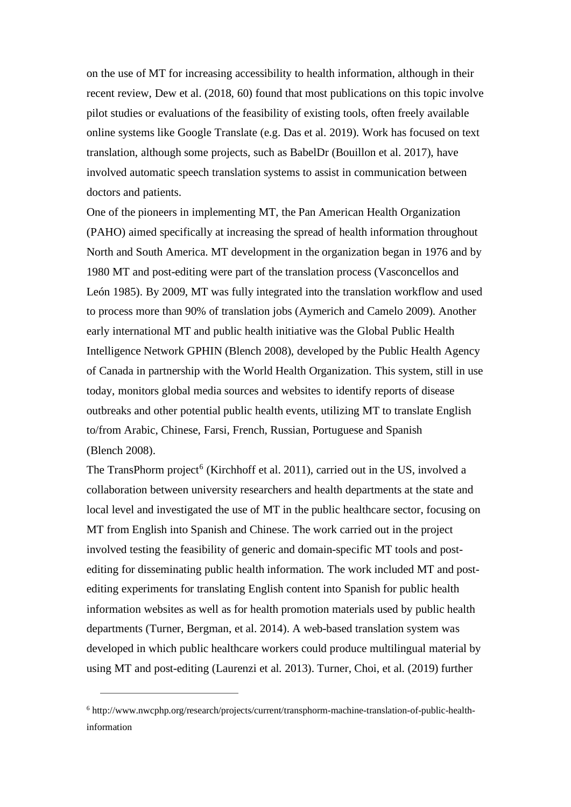on the use of MT for increasing accessibility to health information, although in their recent review, Dew et al. (2018, 60) found that most publications on this topic involve pilot studies or evaluations of the feasibility of existing tools, often freely available online systems like Google Translate (e.g. Das et al. 2019). Work has focused on text translation, although some projects, such as BabelDr (Bouillon et al. 2017), have involved automatic speech translation systems to assist in communication between doctors and patients.

One of the pioneers in implementing MT, the Pan American Health Organization (PAHO) aimed specifically at increasing the spread of health information throughout North and South America. MT development in the organization began in 1976 and by 1980 MT and post-editing were part of the translation process (Vasconcellos and León 1985). By 2009, MT was fully integrated into the translation workflow and used to process more than 90% of translation jobs (Aymerich and Camelo 2009). Another early international MT and public health initiative was the Global Public Health Intelligence Network GPHIN (Blench 2008), developed by the Public Health Agency of Canada in partnership with the World Health Organization. This system, still in use today, monitors global media sources and websites to identify reports of disease outbreaks and other potential public health events, utilizing MT to translate English to/from Arabic, Chinese, Farsi, French, Russian, Portuguese and Spanish (Blench 2008).

The TransPhorm project<sup>[6](#page-7-0)</sup> (Kirchhoff et al. 2011), carried out in the US, involved a collaboration between university researchers and health departments at the state and local level and investigated the use of MT in the public healthcare sector, focusing on MT from English into Spanish and Chinese. The work carried out in the project involved testing the feasibility of generic and domain-specific MT tools and postediting for disseminating public health information. The work included MT and postediting experiments for translating English content into Spanish for public health information websites as well as for health promotion materials used by public health departments (Turner, Bergman, et al. 2014). A web-based translation system was developed in which public healthcare workers could produce multilingual material by using MT and post-editing (Laurenzi et al. 2013). Turner, Choi, et al. (2019) further

<span id="page-7-0"></span><sup>6</sup> http://www.nwcphp.org/research/projects/current/transphorm-machine-translation-of-public-healthinformation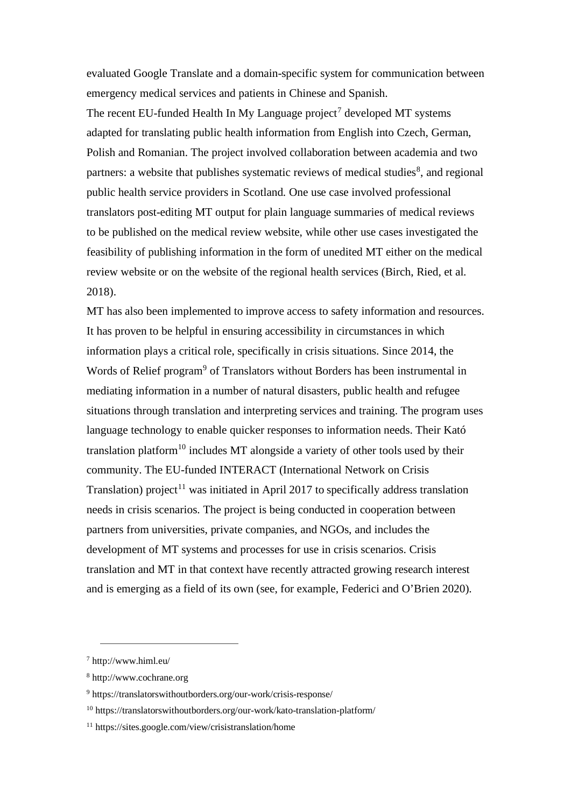evaluated Google Translate and a domain-specific system for communication between emergency medical services and patients in Chinese and Spanish.

The recent EU-funded Health In My Language project<sup>[7](#page-8-0)</sup> developed MT systems adapted for translating public health information from English into Czech, German, Polish and Romanian. The project involved collaboration between academia and two partners: a website that publishes systematic reviews of medical studies<sup>[8](#page-8-1)</sup>, and regional public health service providers in Scotland. One use case involved professional translators post-editing MT output for plain language summaries of medical reviews to be published on the medical review website, while other use cases investigated the feasibility of publishing information in the form of unedited MT either on the medical review website or on the website of the regional health services (Birch, Ried, et al. 2018).

MT has also been implemented to improve access to safety information and resources. It has proven to be helpful in ensuring accessibility in circumstances in which information plays a critical role, specifically in crisis situations. Since 2014, the Words of Relief program<sup>[9](#page-8-2)</sup> of Translators without Borders has been instrumental in mediating information in a number of natural disasters, public health and refugee situations through translation and interpreting services and training. The program uses language technology to enable quicker responses to information needs. Their Kató translation platform<sup>[10](#page-8-3)</sup> includes MT alongside a variety of other tools used by their community. The EU-funded INTERACT (International Network on Crisis Translation) project<sup>[11](#page-8-4)</sup> was initiated in April 2017 to specifically address translation needs in crisis scenarios. The project is being conducted in cooperation between partners from universities, private companies, and NGOs, and includes the development of MT systems and processes for use in crisis scenarios. Crisis translation and MT in that context have recently attracted growing research interest and is emerging as a field of its own (see, for example, Federici and O'Brien 2020).

<span id="page-8-0"></span><sup>7</sup> http://www.himl.eu/

<span id="page-8-1"></span><sup>8</sup> http://www.cochrane.org

<span id="page-8-2"></span><sup>9</sup> <https://translatorswithoutborders.org/our-work/crisis-response/>

<span id="page-8-3"></span> $10$  <https://translatorswithoutborders.org/our-work/kato-translation-platform/>

<span id="page-8-4"></span><sup>11</sup> <https://sites.google.com/view/crisistranslation/home>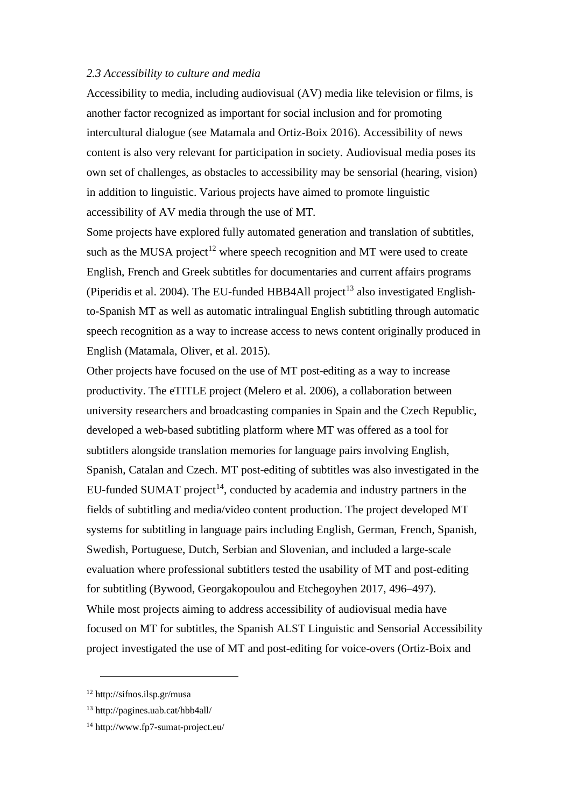#### *2.3 Accessibility to culture and media*

Accessibility to media, including audiovisual (AV) media like television or films, is another factor recognized as important for social inclusion and for promoting intercultural dialogue (see Matamala and Ortiz-Boix 2016). Accessibility of news content is also very relevant for participation in society. Audiovisual media poses its own set of challenges, as obstacles to accessibility may be sensorial (hearing, vision) in addition to linguistic. Various projects have aimed to promote linguistic accessibility of AV media through the use of MT.

Some projects have explored fully automated generation and translation of subtitles, such as the MUSA project<sup>[12](#page-9-0)</sup> where speech recognition and MT were used to create English, French and Greek subtitles for documentaries and current affairs programs (Piperidis et al. 2004). The EU-funded HBB4All project<sup>[13](#page-9-1)</sup> also investigated Englishto-Spanish MT as well as automatic intralingual English subtitling through automatic speech recognition as a way to increase access to news content originally produced in English (Matamala, Oliver, et al. 2015).

Other projects have focused on the use of MT post-editing as a way to increase productivity. The eTITLE project (Melero et al. 2006), a collaboration between university researchers and broadcasting companies in Spain and the Czech Republic, developed a web-based subtitling platform where MT was offered as a tool for subtitlers alongside translation memories for language pairs involving English, Spanish, Catalan and Czech. MT post-editing of subtitles was also investigated in the EU-funded SUMAT project<sup>14</sup>, conducted by academia and industry partners in the fields of subtitling and media/video content production. The project developed MT systems for subtitling in language pairs including English, German, French, Spanish, Swedish, Portuguese, Dutch, Serbian and Slovenian, and included a large-scale evaluation where professional subtitlers tested the usability of MT and post-editing for subtitling (Bywood, Georgakopoulou and Etchegoyhen 2017, 496–497). While most projects aiming to address accessibility of audiovisual media have focused on MT for subtitles, the Spanish ALST Linguistic and Sensorial Accessibility project investigated the use of MT and post-editing for voice-overs (Ortiz-Boix and

<span id="page-9-0"></span><sup>12</sup> http://sifnos.ilsp.gr/musa

<span id="page-9-1"></span><sup>13</sup> http://pagines.uab.cat/hbb4all/

<span id="page-9-2"></span><sup>14</sup> http://www.fp7-sumat-project.eu/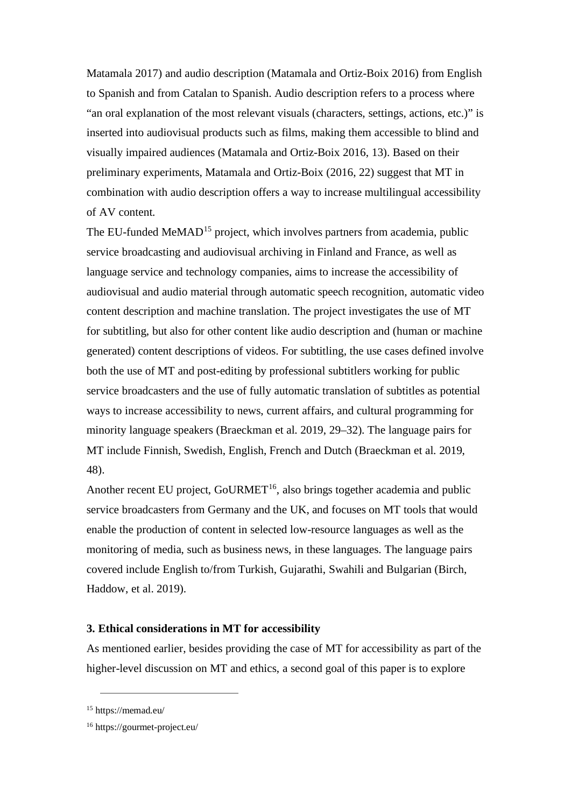Matamala 2017) and audio description (Matamala and Ortiz-Boix 2016) from English to Spanish and from Catalan to Spanish. Audio description refers to a process where "an oral explanation of the most relevant visuals (characters, settings, actions, etc.)" is inserted into audiovisual products such as films, making them accessible to blind and visually impaired audiences (Matamala and Ortiz-Boix 2016, 13). Based on their preliminary experiments, Matamala and Ortiz-Boix (2016, 22) suggest that MT in combination with audio description offers a way to increase multilingual accessibility of AV content.

The EU-funded MeMAD<sup>[15](#page-10-0)</sup> project, which involves partners from academia, public service broadcasting and audiovisual archiving in Finland and France, as well as language service and technology companies, aims to increase the accessibility of audiovisual and audio material through automatic speech recognition, automatic video content description and machine translation. The project investigates the use of MT for subtitling, but also for other content like audio description and (human or machine generated) content descriptions of videos. For subtitling, the use cases defined involve both the use of MT and post-editing by professional subtitlers working for public service broadcasters and the use of fully automatic translation of subtitles as potential ways to increase accessibility to news, current affairs, and cultural programming for minority language speakers (Braeckman et al. 2019, 29–32). The language pairs for MT include Finnish, Swedish, English, French and Dutch (Braeckman et al. 2019, 48).

Another recent EU project, GoURMET<sup>[16](#page-10-1)</sup>, also brings together academia and public service broadcasters from Germany and the UK, and focuses on MT tools that would enable the production of content in selected low-resource languages as well as the monitoring of media, such as business news, in these languages. The language pairs covered include English to/from Turkish, Gujarathi, Swahili and Bulgarian (Birch, Haddow, et al. 2019).

# **3. Ethical considerations in MT for accessibility**

As mentioned earlier, besides providing the case of MT for accessibility as part of the higher-level discussion on MT and ethics, a second goal of this paper is to explore

<span id="page-10-0"></span><sup>15</sup> <https://memad.eu/>

<span id="page-10-1"></span><sup>16</sup> https://gourmet-project.eu/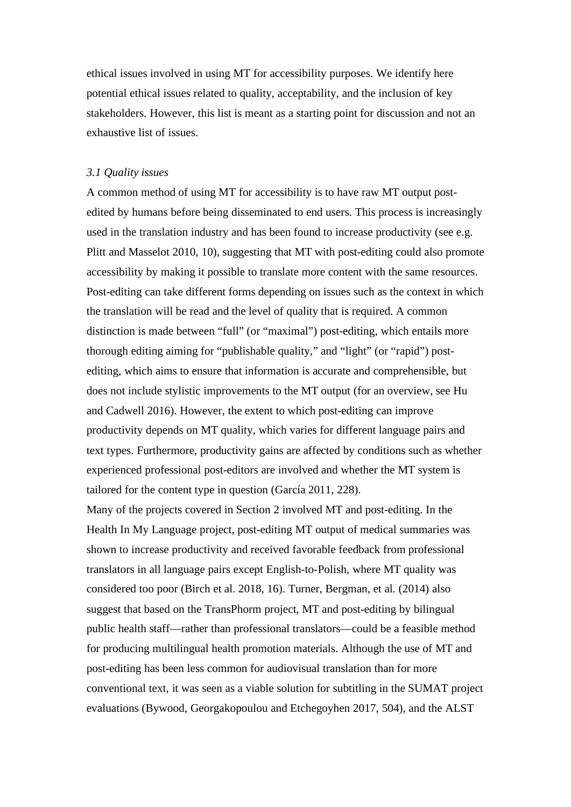ethical issues involved in using MT for accessibility purposes. We identify here potential ethical issues related to quality, acceptability, and the inclusion of key stakeholders. However, this list is meant as a starting point for discussion and not an exhaustive list of issues.

## *3.1 Quality issues*

A common method of using MT for accessibility is to have raw MT output postedited by humans before being disseminated to end users. This process is increasingly used in the translation industry and has been found to increase productivity (see e.g. Plitt and Masselot 2010, 10), suggesting that MT with post-editing could also promote accessibility by making it possible to translate more content with the same resources. Post-editing can take different forms depending on issues such as the context in which the translation will be read and the level of quality that is required. A common distinction is made between "full" (or "maximal") post-editing, which entails more thorough editing aiming for "publishable quality," and "light" (or "rapid") postediting, which aims to ensure that information is accurate and comprehensible, but does not include stylistic improvements to the MT output (for an overview, see Hu and Cadwell 2016). However, the extent to which post-editing can improve productivity depends on MT quality, which varies for different language pairs and text types. Furthermore, productivity gains are affected by conditions such as whether experienced professional post-editors are involved and whether the MT system is tailored for the content type in question (García 2011, 228).

Many of the projects covered in Section 2 involved MT and post-editing. In the Health In My Language project, post-editing MT output of medical summaries was shown to increase productivity and received favorable feedback from professional translators in all language pairs except English-to-Polish, where MT quality was considered too poor (Birch et al. 2018, 16). Turner, Bergman, et al. (2014) also suggest that based on the TransPhorm project, MT and post-editing by bilingual public health staff—rather than professional translators—could be a feasible method for producing multilingual health promotion materials. Although the use of MT and post-editing has been less common for audiovisual translation than for more conventional text, it was seen as a viable solution for subtitling in the SUMAT project evaluations (Bywood, Georgakopoulou and Etchegoyhen 2017, 504), and the ALST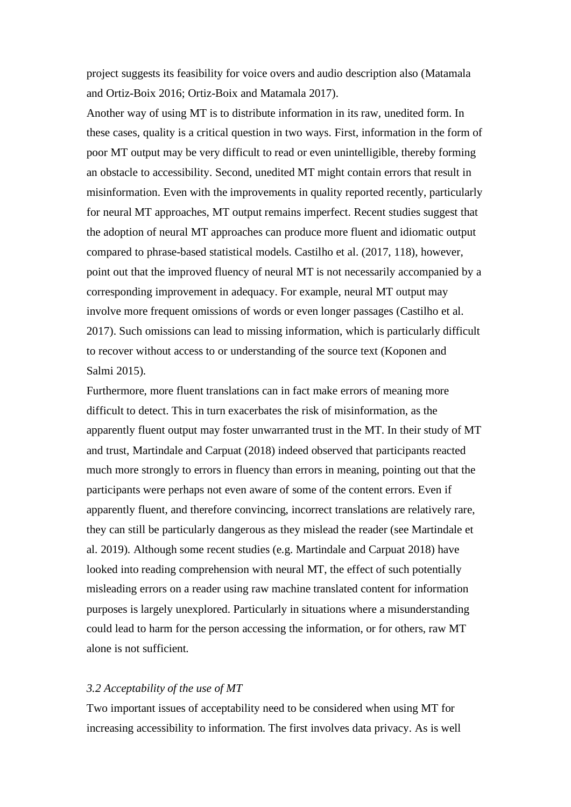project suggests its feasibility for voice overs and audio description also (Matamala and Ortiz-Boix 2016; Ortiz-Boix and Matamala 2017).

Another way of using MT is to distribute information in its raw, unedited form. In these cases, quality is a critical question in two ways. First, information in the form of poor MT output may be very difficult to read or even unintelligible, thereby forming an obstacle to accessibility. Second, unedited MT might contain errors that result in misinformation. Even with the improvements in quality reported recently, particularly for neural MT approaches, MT output remains imperfect. Recent studies suggest that the adoption of neural MT approaches can produce more fluent and idiomatic output compared to phrase-based statistical models. Castilho et al. (2017, 118), however, point out that the improved fluency of neural MT is not necessarily accompanied by a corresponding improvement in adequacy. For example, neural MT output may involve more frequent omissions of words or even longer passages (Castilho et al. 2017). Such omissions can lead to missing information, which is particularly difficult to recover without access to or understanding of the source text (Koponen and Salmi 2015).

Furthermore, more fluent translations can in fact make errors of meaning more difficult to detect. This in turn exacerbates the risk of misinformation, as the apparently fluent output may foster unwarranted trust in the MT. In their study of MT and trust, Martindale and Carpuat (2018) indeed observed that participants reacted much more strongly to errors in fluency than errors in meaning, pointing out that the participants were perhaps not even aware of some of the content errors. Even if apparently fluent, and therefore convincing, incorrect translations are relatively rare, they can still be particularly dangerous as they mislead the reader (see Martindale et al. 2019). Although some recent studies (e.g. Martindale and Carpuat 2018) have looked into reading comprehension with neural MT, the effect of such potentially misleading errors on a reader using raw machine translated content for information purposes is largely unexplored. Particularly in situations where a misunderstanding could lead to harm for the person accessing the information, or for others, raw MT alone is not sufficient.

# *3.2 Acceptability of the use of MT*

Two important issues of acceptability need to be considered when using MT for increasing accessibility to information. The first involves data privacy. As is well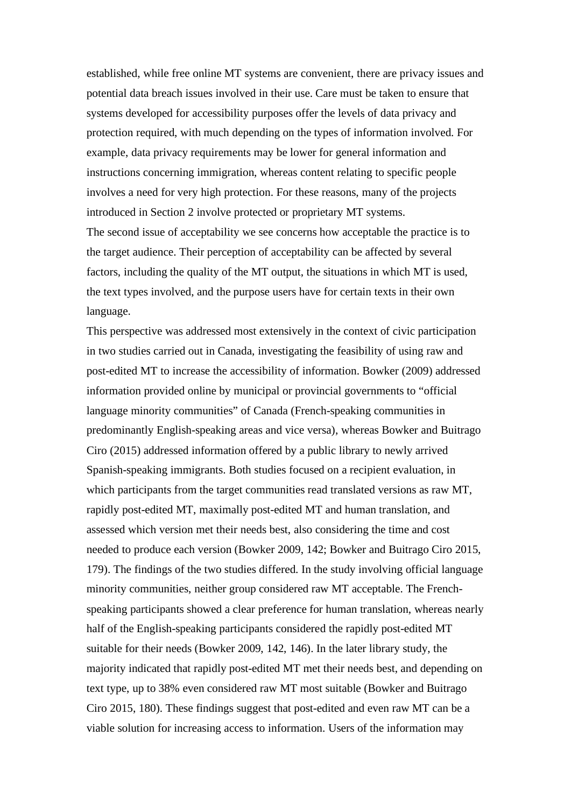established, while free online MT systems are convenient, there are privacy issues and potential data breach issues involved in their use. Care must be taken to ensure that systems developed for accessibility purposes offer the levels of data privacy and protection required, with much depending on the types of information involved. For example, data privacy requirements may be lower for general information and instructions concerning immigration, whereas content relating to specific people involves a need for very high protection. For these reasons, many of the projects introduced in Section 2 involve protected or proprietary MT systems. The second issue of acceptability we see concerns how acceptable the practice is to the target audience. Their perception of acceptability can be affected by several factors, including the quality of the MT output, the situations in which MT is used, the text types involved, and the purpose users have for certain texts in their own language.

This perspective was addressed most extensively in the context of civic participation in two studies carried out in Canada, investigating the feasibility of using raw and post-edited MT to increase the accessibility of information. Bowker (2009) addressed information provided online by municipal or provincial governments to "official language minority communities" of Canada (French-speaking communities in predominantly English-speaking areas and vice versa), whereas Bowker and Buitrago Ciro (2015) addressed information offered by a public library to newly arrived Spanish-speaking immigrants. Both studies focused on a recipient evaluation, in which participants from the target communities read translated versions as raw MT, rapidly post-edited MT, maximally post-edited MT and human translation, and assessed which version met their needs best, also considering the time and cost needed to produce each version (Bowker 2009, 142; Bowker and Buitrago Ciro 2015, 179). The findings of the two studies differed. In the study involving official language minority communities, neither group considered raw MT acceptable. The Frenchspeaking participants showed a clear preference for human translation, whereas nearly half of the English-speaking participants considered the rapidly post-edited MT suitable for their needs (Bowker 2009, 142, 146). In the later library study, the majority indicated that rapidly post-edited MT met their needs best, and depending on text type, up to 38% even considered raw MT most suitable (Bowker and Buitrago Ciro 2015, 180). These findings suggest that post-edited and even raw MT can be a viable solution for increasing access to information. Users of the information may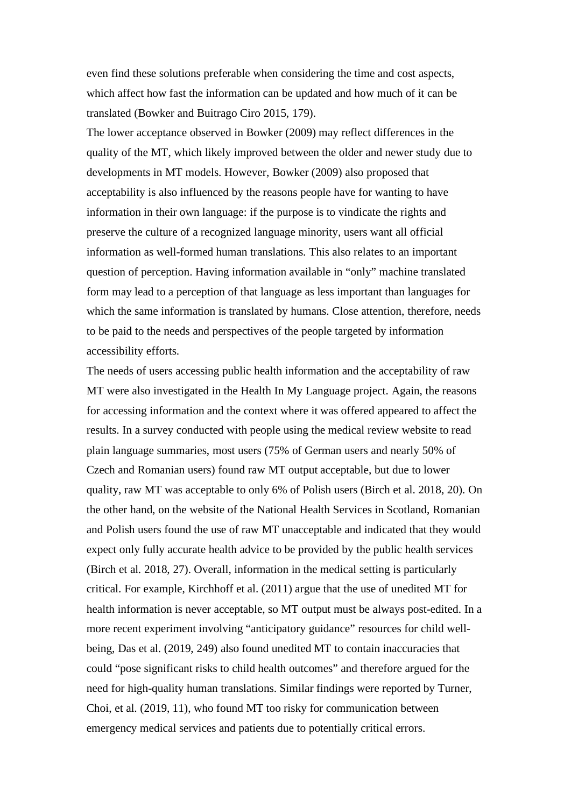even find these solutions preferable when considering the time and cost aspects, which affect how fast the information can be updated and how much of it can be translated (Bowker and Buitrago Ciro 2015, 179).

The lower acceptance observed in Bowker (2009) may reflect differences in the quality of the MT, which likely improved between the older and newer study due to developments in MT models. However, Bowker (2009) also proposed that acceptability is also influenced by the reasons people have for wanting to have information in their own language: if the purpose is to vindicate the rights and preserve the culture of a recognized language minority, users want all official information as well-formed human translations. This also relates to an important question of perception. Having information available in "only" machine translated form may lead to a perception of that language as less important than languages for which the same information is translated by humans. Close attention, therefore, needs to be paid to the needs and perspectives of the people targeted by information accessibility efforts.

The needs of users accessing public health information and the acceptability of raw MT were also investigated in the Health In My Language project. Again, the reasons for accessing information and the context where it was offered appeared to affect the results. In a survey conducted with people using the medical review website to read plain language summaries, most users (75% of German users and nearly 50% of Czech and Romanian users) found raw MT output acceptable, but due to lower quality, raw MT was acceptable to only 6% of Polish users (Birch et al. 2018, 20). On the other hand, on the website of the National Health Services in Scotland, Romanian and Polish users found the use of raw MT unacceptable and indicated that they would expect only fully accurate health advice to be provided by the public health services (Birch et al. 2018, 27). Overall, information in the medical setting is particularly critical. For example, Kirchhoff et al. (2011) argue that the use of unedited MT for health information is never acceptable, so MT output must be always post-edited. In a more recent experiment involving "anticipatory guidance" resources for child wellbeing, Das et al. (2019, 249) also found unedited MT to contain inaccuracies that could "pose significant risks to child health outcomes" and therefore argued for the need for high-quality human translations. Similar findings were reported by Turner, Choi, et al. (2019, 11), who found MT too risky for communication between emergency medical services and patients due to potentially critical errors.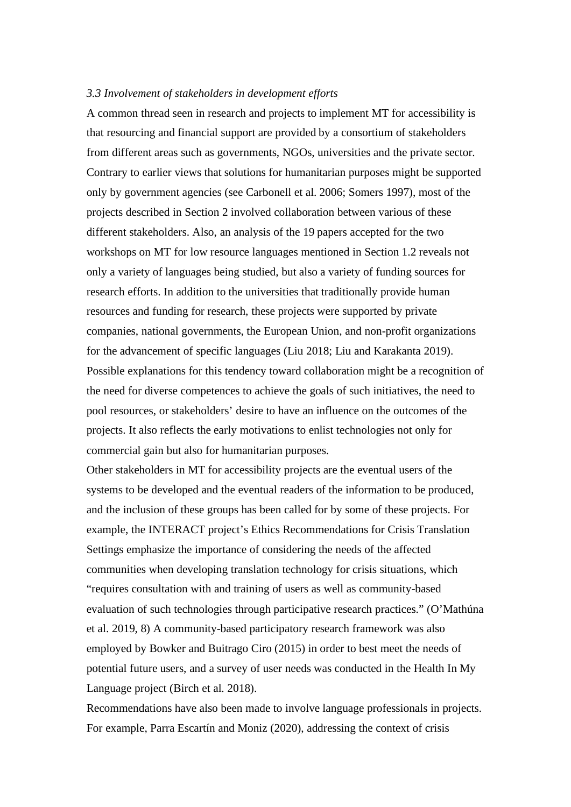#### *3.3 Involvement of stakeholders in development efforts*

A common thread seen in research and projects to implement MT for accessibility is that resourcing and financial support are provided by a consortium of stakeholders from different areas such as governments, NGOs, universities and the private sector. Contrary to earlier views that solutions for humanitarian purposes might be supported only by government agencies (see Carbonell et al. 2006; Somers 1997), most of the projects described in Section 2 involved collaboration between various of these different stakeholders. Also, an analysis of the 19 papers accepted for the two workshops on MT for low resource languages mentioned in Section 1.2 reveals not only a variety of languages being studied, but also a variety of funding sources for research efforts. In addition to the universities that traditionally provide human resources and funding for research, these projects were supported by private companies, national governments, the European Union, and non-profit organizations for the advancement of specific languages (Liu 2018; Liu and Karakanta 2019). Possible explanations for this tendency toward collaboration might be a recognition of the need for diverse competences to achieve the goals of such initiatives, the need to pool resources, or stakeholders' desire to have an influence on the outcomes of the projects. It also reflects the early motivations to enlist technologies not only for commercial gain but also for humanitarian purposes.

Other stakeholders in MT for accessibility projects are the eventual users of the systems to be developed and the eventual readers of the information to be produced, and the inclusion of these groups has been called for by some of these projects. For example, the INTERACT project's Ethics Recommendations for Crisis Translation Settings emphasize the importance of considering the needs of the affected communities when developing translation technology for crisis situations, which "requires consultation with and training of users as well as community-based evaluation of such technologies through participative research practices." (O'Mathúna et al. 2019, 8) A community-based participatory research framework was also employed by Bowker and Buitrago Ciro (2015) in order to best meet the needs of potential future users, and a survey of user needs was conducted in the Health In My Language project (Birch et al. 2018).

Recommendations have also been made to involve language professionals in projects. For example, Parra Escartín and Moniz (2020), addressing the context of crisis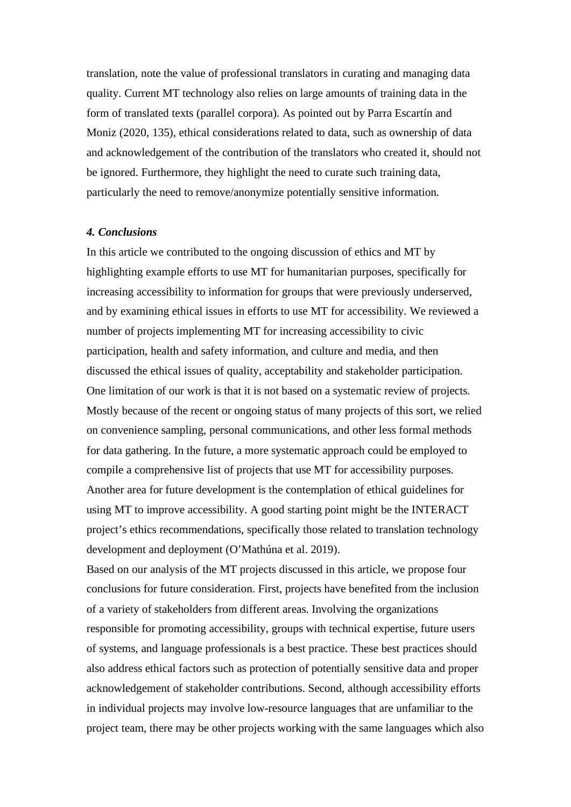translation, note the value of professional translators in curating and managing data quality. Current MT technology also relies on large amounts of training data in the form of translated texts (parallel corpora). As pointed out by Parra Escartín and Moniz (2020, 135), ethical considerations related to data, such as ownership of data and acknowledgement of the contribution of the translators who created it, should not be ignored. Furthermore, they highlight the need to curate such training data, particularly the need to remove/anonymize potentially sensitive information.

#### *4. Conclusions*

In this article we contributed to the ongoing discussion of ethics and MT by highlighting example efforts to use MT for humanitarian purposes, specifically for increasing accessibility to information for groups that were previously underserved, and by examining ethical issues in efforts to use MT for accessibility. We reviewed a number of projects implementing MT for increasing accessibility to civic participation, health and safety information, and culture and media, and then discussed the ethical issues of quality, acceptability and stakeholder participation. One limitation of our work is that it is not based on a systematic review of projects. Mostly because of the recent or ongoing status of many projects of this sort, we relied on convenience sampling, personal communications, and other less formal methods for data gathering. In the future, a more systematic approach could be employed to compile a comprehensive list of projects that use MT for accessibility purposes. Another area for future development is the contemplation of ethical guidelines for using MT to improve accessibility. A good starting point might be the INTERACT project's ethics recommendations, specifically those related to translation technology development and deployment (O'Mathúna et al. 2019).

Based on our analysis of the MT projects discussed in this article, we propose four conclusions for future consideration. First, projects have benefited from the inclusion of a variety of stakeholders from different areas. Involving the organizations responsible for promoting accessibility, groups with technical expertise, future users of systems, and language professionals is a best practice. These best practices should also address ethical factors such as protection of potentially sensitive data and proper acknowledgement of stakeholder contributions. Second, although accessibility efforts in individual projects may involve low-resource languages that are unfamiliar to the project team, there may be other projects working with the same languages which also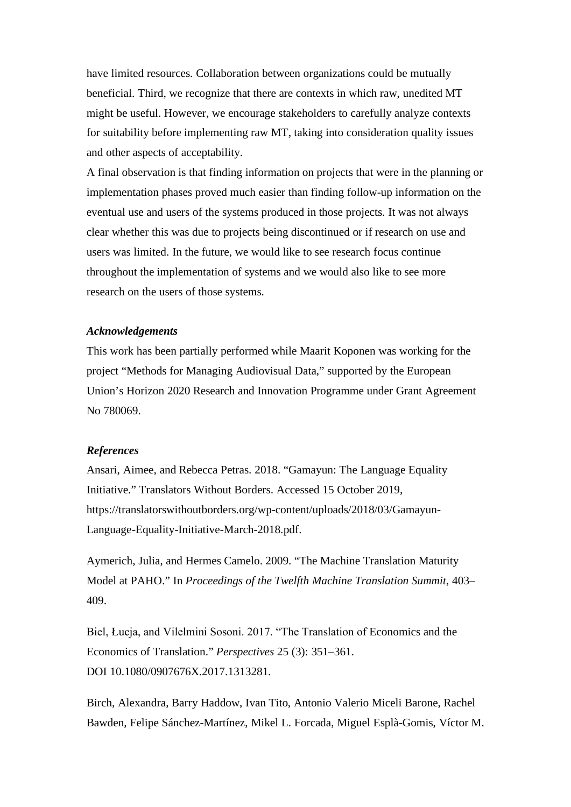have limited resources. Collaboration between organizations could be mutually beneficial. Third, we recognize that there are contexts in which raw, unedited MT might be useful. However, we encourage stakeholders to carefully analyze contexts for suitability before implementing raw MT, taking into consideration quality issues and other aspects of acceptability.

A final observation is that finding information on projects that were in the planning or implementation phases proved much easier than finding follow-up information on the eventual use and users of the systems produced in those projects. It was not always clear whether this was due to projects being discontinued or if research on use and users was limited. In the future, we would like to see research focus continue throughout the implementation of systems and we would also like to see more research on the users of those systems.

# *Acknowledgements*

This work has been partially performed while Maarit Koponen was working for the project "Methods for Managing Audiovisual Data," supported by the European Union's Horizon 2020 Research and Innovation Programme under Grant Agreement No 780069.

# *References*

Ansari, Aimee, and Rebecca Petras. 2018. "Gamayun: The Language Equality Initiative." Translators Without Borders. Accessed 15 October 2019, https://translatorswithoutborders.org/wp-content/uploads/2018/03/Gamayun-Language-Equality-Initiative-March-2018.pdf.

Aymerich, Julia, and Hermes Camelo. 2009. "The Machine Translation Maturity Model at PAHO." In *Proceedings of the Twelfth Machine Translation Summit*, 403– 409.

Biel, Łucja, and Vilelmini Sosoni. 2017. "The Translation of Economics and the Economics of Translation." *Perspectives* 25 (3): 351–361. DOI 10.1080/0907676X.2017.1313281.

Birch, Alexandra, Barry Haddow, Ivan Tito, Antonio Valerio Miceli Barone, Rachel Bawden, Felipe Sánchez-Martínez, Mikel L. Forcada, Miguel Esplà-Gomis, Víctor M.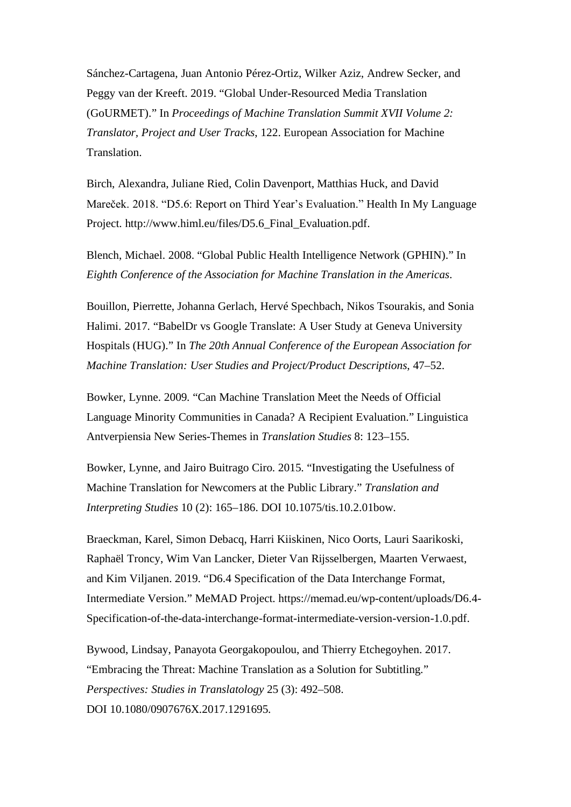Sánchez-Cartagena, Juan Antonio Pérez-Ortiz, Wilker Aziz, Andrew Secker, and Peggy van der Kreeft. 2019. "Global Under-Resourced Media Translation (GoURMET)." In *Proceedings of Machine Translation Summit XVII Volume 2: Translator, Project and User Tracks*, 122. European Association for Machine Translation.

Birch, Alexandra, Juliane Ried, Colin Davenport, Matthias Huck, and David Mareček. 2018. "D5.6: Report on Third Year's Evaluation." Health In My Language Project. http://www.himl.eu/files/D5.6\_Final\_Evaluation.pdf.

Blench, Michael. 2008. "Global Public Health Intelligence Network (GPHIN)." In *Eighth Conference of the Association for Machine Translation in the Americas*.

Bouillon, Pierrette, Johanna Gerlach, Hervé Spechbach, Nikos Tsourakis, and Sonia Halimi. 2017. "BabelDr vs Google Translate: A User Study at Geneva University Hospitals (HUG)." In *The 20th Annual Conference of the European Association for Machine Translation: User Studies and Project/Product Descriptions*, 47–52.

Bowker, Lynne. 2009. "Can Machine Translation Meet the Needs of Official Language Minority Communities in Canada? A Recipient Evaluation." Linguistica Antverpiensia New Series-Themes in *Translation Studies* 8: 123–155.

Bowker, Lynne, and Jairo Buitrago Ciro. 2015. "Investigating the Usefulness of Machine Translation for Newcomers at the Public Library." *Translation and Interpreting Studies* 10 (2): 165–186. DOI 10.1075/tis.10.2.01bow.

Braeckman, Karel, Simon Debacq, Harri Kiiskinen, Nico Oorts, Lauri Saarikoski, Raphaël Troncy, Wim Van Lancker, Dieter Van Rijsselbergen, Maarten Verwaest, and Kim Viljanen. 2019. "D6.4 Specification of the Data Interchange Format, Intermediate Version." MeMAD Project. https://memad.eu/wp-content/uploads/D6.4- Specification-of-the-data-interchange-format-intermediate-version-version-1.0.pdf.

Bywood, Lindsay, Panayota Georgakopoulou, and Thierry Etchegoyhen. 2017. "Embracing the Threat: Machine Translation as a Solution for Subtitling." *Perspectives: Studies in Translatology* 25 (3): 492–508. DOI 10.1080/0907676X.2017.1291695.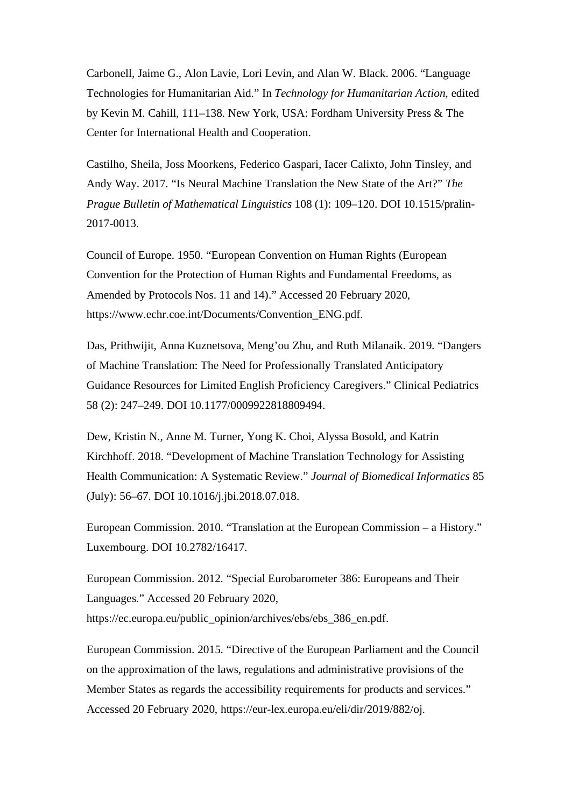Carbonell, Jaime G., Alon Lavie, Lori Levin, and Alan W. Black. 2006. "Language Technologies for Humanitarian Aid." In *Technology for Humanitarian Action*, edited by Kevin M. Cahill, 111–138. New York, USA: Fordham University Press & The Center for International Health and Cooperation.

Castilho, Sheila, Joss Moorkens, Federico Gaspari, Iacer Calixto, John Tinsley, and Andy Way. 2017. "Is Neural Machine Translation the New State of the Art?" *The Prague Bulletin of Mathematical Linguistics* 108 (1): 109–120. DOI 10.1515/pralin-2017-0013.

Council of Europe. 1950. "European Convention on Human Rights (European Convention for the Protection of Human Rights and Fundamental Freedoms, as Amended by Protocols Nos. 11 and 14)." Accessed 20 February 2020, https://www.echr.coe.int/Documents/Convention\_ENG.pdf.

Das, Prithwijit, Anna Kuznetsova, Meng'ou Zhu, and Ruth Milanaik. 2019. "Dangers of Machine Translation: The Need for Professionally Translated Anticipatory Guidance Resources for Limited English Proficiency Caregivers." Clinical Pediatrics 58 (2): 247–249. DOI 10.1177/0009922818809494.

Dew, Kristin N., Anne M. Turner, Yong K. Choi, Alyssa Bosold, and Katrin Kirchhoff. 2018. "Development of Machine Translation Technology for Assisting Health Communication: A Systematic Review." *Journal of Biomedical Informatics* 85 (July): 56–67. DOI 10.1016/j.jbi.2018.07.018.

European Commission. 2010. "Translation at the European Commission – a History." Luxembourg. DOI 10.2782/16417.

European Commission. 2012. "Special Eurobarometer 386: Europeans and Their Languages." Accessed 20 February 2020, https://ec.europa.eu/public\_opinion/archives/ebs/ebs\_386\_en.pdf.

European Commission. 2015. "Directive of the European Parliament and the Council on the approximation of the laws, regulations and administrative provisions of the Member States as regards the accessibility requirements for products and services." Accessed 20 February 2020, https://eur-lex.europa.eu/eli/dir/2019/882/oj.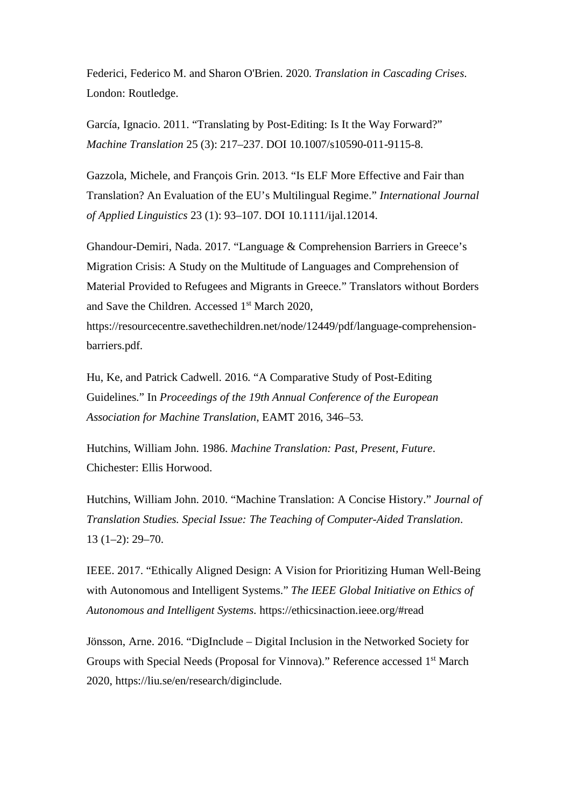Federici, Federico M. and Sharon O'Brien. 2020. *Translation in Cascading Crises*. London: Routledge.

García, Ignacio. 2011. "Translating by Post-Editing: Is It the Way Forward?" *Machine Translation* 25 (3): 217–237. DOI 10.1007/s10590-011-9115-8.

Gazzola, Michele, and François Grin. 2013. "Is ELF More Effective and Fair than Translation? An Evaluation of the EU's Multilingual Regime." *International Journal of Applied Linguistics* 23 (1): 93–107. DOI 10.1111/ijal.12014.

Ghandour-Demiri, Nada. 2017. "Language & Comprehension Barriers in Greece's Migration Crisis: A Study on the Multitude of Languages and Comprehension of Material Provided to Refugees and Migrants in Greece." Translators without Borders and Save the Children. Accessed 1<sup>st</sup> March 2020, https://resourcecentre.savethechildren.net/node/12449/pdf/language-comprehensionbarriers.pdf.

Hu, Ke, and Patrick Cadwell. 2016. "A Comparative Study of Post-Editing Guidelines." In *Proceedings of the 19th Annual Conference of the European Association for Machine Translation*, EAMT 2016, 346–53.

Hutchins, William John. 1986. *Machine Translation: Past, Present, Future*. Chichester: Ellis Horwood.

Hutchins, William John. 2010. "Machine Translation: A Concise History." *Journal of Translation Studies. Special Issue: The Teaching of Computer-Aided Translation*. 13 (1–2): 29–70.

IEEE. 2017. "Ethically Aligned Design: A Vision for Prioritizing Human Well-Being with Autonomous and Intelligent Systems." *The IEEE Global Initiative on Ethics of Autonomous and Intelligent Systems*. https://ethicsinaction.ieee.org/#read

Jönsson, Arne. 2016. "DigInclude – Digital Inclusion in the Networked Society for Groups with Special Needs (Proposal for Vinnova)." Reference accessed 1st March 2020, https://liu.se/en/research/diginclude.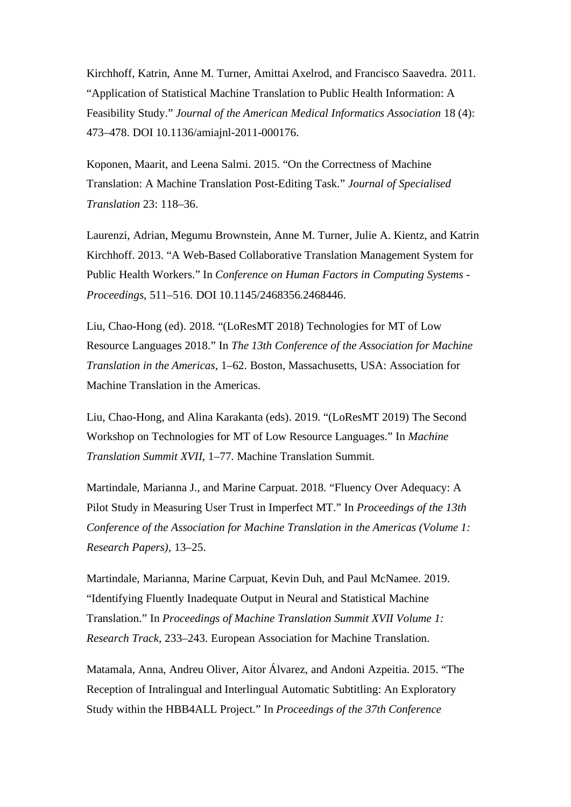Kirchhoff, Katrin, Anne M. Turner, Amittai Axelrod, and Francisco Saavedra. 2011. "Application of Statistical Machine Translation to Public Health Information: A Feasibility Study." *Journal of the American Medical Informatics Association* 18 (4): 473–478. DOI 10.1136/amiajnl-2011-000176.

Koponen, Maarit, and Leena Salmi. 2015. "On the Correctness of Machine Translation: A Machine Translation Post-Editing Task." *Journal of Specialised Translation* 23: 118–36.

Laurenzi, Adrian, Megumu Brownstein, Anne M. Turner, Julie A. Kientz, and Katrin Kirchhoff. 2013. "A Web-Based Collaborative Translation Management System for Public Health Workers." In *Conference on Human Factors in Computing Systems - Proceedings*, 511–516. DOI 10.1145/2468356.2468446.

Liu, Chao-Hong (ed). 2018. "(LoResMT 2018) Technologies for MT of Low Resource Languages 2018." In *The 13th Conference of the Association for Machine Translation in the Americas*, 1–62. Boston, Massachusetts, USA: Association for Machine Translation in the Americas.

Liu, Chao-Hong, and Alina Karakanta (eds). 2019. "(LoResMT 2019) The Second Workshop on Technologies for MT of Low Resource Languages." In *Machine Translation Summit XVII*, 1–77. Machine Translation Summit.

Martindale, Marianna J., and Marine Carpuat. 2018. "Fluency Over Adequacy: A Pilot Study in Measuring User Trust in Imperfect MT." In *Proceedings of the 13th Conference of the Association for Machine Translation in the Americas (Volume 1: Research Papers)*, 13–25.

Martindale, Marianna, Marine Carpuat, Kevin Duh, and Paul McNamee. 2019. "Identifying Fluently Inadequate Output in Neural and Statistical Machine Translation." In *Proceedings of Machine Translation Summit XVII Volume 1: Research Track*, 233–243. European Association for Machine Translation.

Matamala, Anna, Andreu Oliver, Aitor Álvarez, and Andoni Azpeitia. 2015. "The Reception of Intralingual and Interlingual Automatic Subtitling: An Exploratory Study within the HBB4ALL Project." In *Proceedings of the 37th Conference*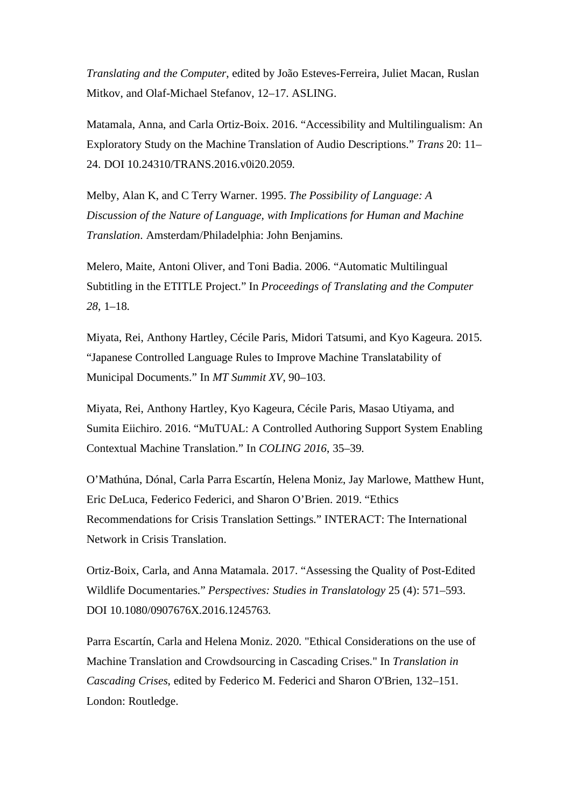*Translating and the Computer*, edited by João Esteves-Ferreira, Juliet Macan, Ruslan Mitkov, and Olaf-Michael Stefanov, 12–17. ASLING.

Matamala, Anna, and Carla Ortiz-Boix. 2016. "Accessibility and Multilingualism: An Exploratory Study on the Machine Translation of Audio Descriptions." *Trans* 20: 11– 24. DOI 10.24310/TRANS.2016.v0i20.2059.

Melby, Alan K, and C Terry Warner. 1995. *The Possibility of Language: A Discussion of the Nature of Language, with Implications for Human and Machine Translation*. Amsterdam/Philadelphia: John Benjamins.

Melero, Maite, Antoni Oliver, and Toni Badia. 2006. "Automatic Multilingual Subtitling in the ETITLE Project." In *Proceedings of Translating and the Computer 28*, 1–18.

Miyata, Rei, Anthony Hartley, Cécile Paris, Midori Tatsumi, and Kyo Kageura. 2015. "Japanese Controlled Language Rules to Improve Machine Translatability of Municipal Documents." In *MT Summit XV*, 90–103.

Miyata, Rei, Anthony Hartley, Kyo Kageura, Cécile Paris, Masao Utiyama, and Sumita Eiichiro. 2016. "MuTUAL: A Controlled Authoring Support System Enabling Contextual Machine Translation." In *COLING 2016*, 35–39.

O'Mathúna, Dónal, Carla Parra Escartín, Helena Moniz, Jay Marlowe, Matthew Hunt, Eric DeLuca, Federico Federici, and Sharon O'Brien. 2019. "Ethics Recommendations for Crisis Translation Settings." INTERACT: The International Network in Crisis Translation.

Ortiz-Boix, Carla, and Anna Matamala. 2017. "Assessing the Quality of Post-Edited Wildlife Documentaries." *Perspectives: Studies in Translatology* 25 (4): 571–593. DOI 10.1080/0907676X.2016.1245763.

Parra Escartín, Carla and Helena Moniz. 2020. "Ethical Considerations on the use of Machine Translation and Crowdsourcing in Cascading Crises." In *Translation in Cascading Crises*, edited by Federico M. Federici and Sharon O'Brien, 132–151. London: Routledge.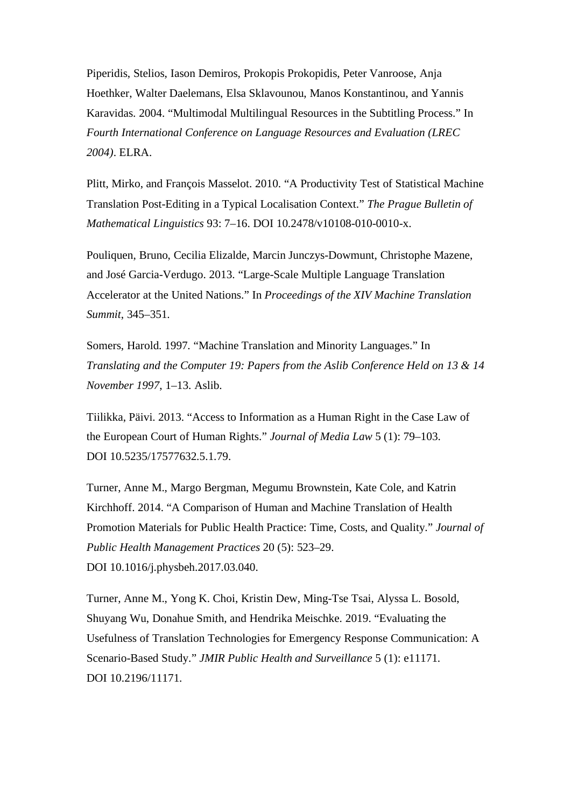Piperidis, Stelios, Iason Demiros, Prokopis Prokopidis, Peter Vanroose, Anja Hoethker, Walter Daelemans, Elsa Sklavounou, Manos Konstantinou, and Yannis Karavidas. 2004. "Multimodal Multilingual Resources in the Subtitling Process." In *Fourth International Conference on Language Resources and Evaluation (LREC 2004)*. ELRA.

Plitt, Mirko, and François Masselot. 2010. "A Productivity Test of Statistical Machine Translation Post-Editing in a Typical Localisation Context." *The Prague Bulletin of Mathematical Linguistics* 93: 7–16. DOI 10.2478/v10108-010-0010-x.

Pouliquen, Bruno, Cecilia Elizalde, Marcin Junczys-Dowmunt, Christophe Mazene, and José Garcia-Verdugo. 2013. "Large-Scale Multiple Language Translation Accelerator at the United Nations." In *Proceedings of the XIV Machine Translation Summit*, 345–351.

Somers, Harold. 1997. "Machine Translation and Minority Languages." In *Translating and the Computer 19: Papers from the Aslib Conference Held on 13 & 14 November 1997*, 1–13. Aslib.

Tiilikka, Päivi. 2013. "Access to Information as a Human Right in the Case Law of the European Court of Human Rights." *Journal of Media Law* 5 (1): 79–103. DOI 10.5235/17577632.5.1.79.

Turner, Anne M., Margo Bergman, Megumu Brownstein, Kate Cole, and Katrin Kirchhoff. 2014. "A Comparison of Human and Machine Translation of Health Promotion Materials for Public Health Practice: Time, Costs, and Quality." *Journal of Public Health Management Practices* 20 (5): 523–29. DOI 10.1016/j.physbeh.2017.03.040.

Turner, Anne M., Yong K. Choi, Kristin Dew, Ming-Tse Tsai, Alyssa L. Bosold, Shuyang Wu, Donahue Smith, and Hendrika Meischke. 2019. "Evaluating the Usefulness of Translation Technologies for Emergency Response Communication: A Scenario-Based Study." *JMIR Public Health and Surveillance* 5 (1): e11171. DOI 10.2196/11171.